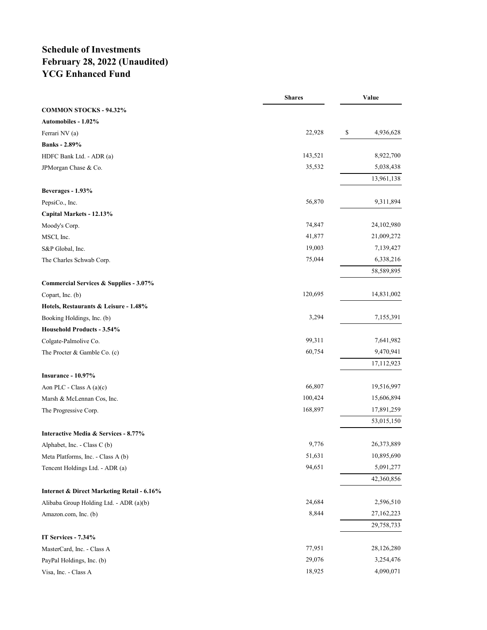# **Schedule of Investments February 28, 2022 (Unaudited) YCG Enhanced Fund**

|                                            | <b>Shares</b> | Value           |
|--------------------------------------------|---------------|-----------------|
| <b>COMMON STOCKS - 94.32%</b>              |               |                 |
| Automobiles - 1.02%                        |               |                 |
| Ferrari NV (a)                             | 22,928        | \$<br>4,936,628 |
| <b>Banks</b> - 2.89%                       |               |                 |
| HDFC Bank Ltd. - ADR (a)                   | 143,521       | 8,922,700       |
| JPMorgan Chase & Co.                       | 35,532        | 5,038,438       |
| Beverages - 1.93%                          |               | 13,961,138      |
| PepsiCo., Inc.                             | 56,870        | 9,311,894       |
| Capital Markets - 12.13%                   |               |                 |
| Moody's Corp.                              | 74,847        | 24,102,980      |
| MSCI, Inc.                                 | 41,877        | 21,009,272      |
| S&P Global, Inc.                           | 19,003        | 7,139,427       |
| The Charles Schwab Corp.                   | 75,044        | 6,338,216       |
|                                            |               | 58,589,895      |
| Commercial Services & Supplies - 3.07%     |               |                 |
| Copart, Inc. (b)                           | 120,695       | 14,831,002      |
| Hotels, Restaurants & Leisure - 1.48%      |               |                 |
| Booking Holdings, Inc. (b)                 | 3,294         | 7,155,391       |
| Household Products - 3.54%                 |               |                 |
| Colgate-Palmolive Co.                      | 99,311        | 7,641,982       |
| The Procter & Gamble Co. (c)               | 60,754        | 9,470,941       |
| Insurance - 10.97%                         |               | 17,112,923      |
| Aon PLC - Class A $(a)(c)$                 | 66,807        | 19,516,997      |
| Marsh & McLennan Cos, Inc.                 | 100,424       | 15,606,894      |
| The Progressive Corp.                      | 168,897       | 17,891,259      |
|                                            |               | 53,015,150      |
| Interactive Media & Services - 8.77%       |               |                 |
| Alphabet, Inc. - Class C (b)               | 9,776         | 26,373,889      |
| Meta Platforms, Inc. - Class A (b)         | 51,631        | 10,895,690      |
| Tencent Holdings Ltd. - ADR (a)            | 94,651        | 5,091,277       |
|                                            |               | 42,360,856      |
| Internet & Direct Marketing Retail - 6.16% |               |                 |
| Alibaba Group Holding Ltd. - ADR (a)(b)    | 24,684        | 2,596,510       |
| Amazon.com, Inc. (b)                       | 8,844         | 27,162,223      |
| IT Services - 7.34%                        |               | 29,758,733      |
| MasterCard, Inc. - Class A                 | 77,951        | 28,126,280      |
| PayPal Holdings, Inc. (b)                  | 29,076        | 3,254,476       |
| Visa, Inc. - Class A                       | 18,925        | 4,090,071       |
|                                            |               |                 |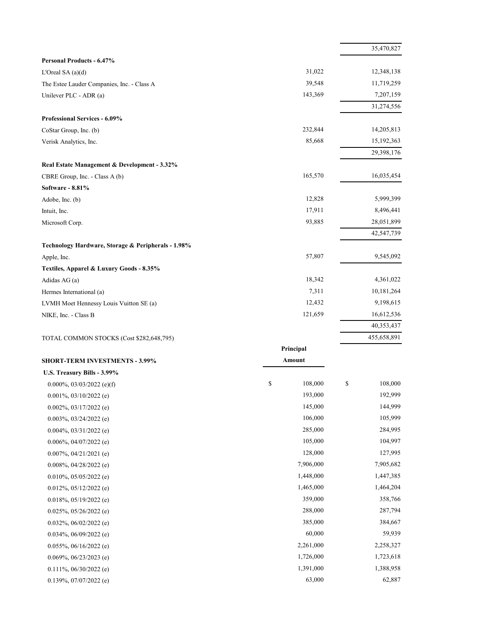|                                                                                |               | 35,470,827    |
|--------------------------------------------------------------------------------|---------------|---------------|
| <b>Personal Products - 6.47%</b>                                               |               |               |
| L'Oreal SA $(a)(d)$                                                            | 31,022        | 12,348,138    |
| The Estee Lauder Companies, Inc. - Class A                                     | 39,548        | 11,719,259    |
| Unilever PLC - ADR (a)                                                         | 143,369       | 7,207,159     |
|                                                                                |               | 31,274,556    |
| <b>Professional Services - 6.09%</b>                                           |               |               |
| CoStar Group, Inc. (b)                                                         | 232,844       | 14,205,813    |
| Verisk Analytics, Inc.                                                         | 85,668        | 15,192,363    |
|                                                                                |               | 29,398,176    |
| Real Estate Management & Development - 3.32%<br>CBRE Group, Inc. - Class A (b) | 165,570       | 16,035,454    |
| <b>Software - 8.81%</b>                                                        |               |               |
| Adobe, Inc. (b)                                                                | 12,828        | 5,999,399     |
| Intuit, Inc.                                                                   | 17,911        | 8,496,441     |
| Microsoft Corp.                                                                | 93,885        | 28,051,899    |
|                                                                                |               | 42,547,739    |
| Technology Hardware, Storage & Peripherals - 1.98%                             |               |               |
| Apple, Inc.                                                                    | 57,807        | 9,545,092     |
| Textiles, Apparel & Luxury Goods - 8.35%                                       |               |               |
| Adidas AG (a)                                                                  | 18,342        | 4,361,022     |
| Hermes International (a)                                                       | 7,311         | 10,181,264    |
| LVMH Moet Hennessy Louis Vuitton SE (a)                                        | 12,432        | 9,198,615     |
| NIKE, Inc. - Class B                                                           | 121,659       | 16,612,536    |
|                                                                                |               | 40,353,437    |
| TOTAL COMMON STOCKS (Cost \$282,648,795)                                       |               | 455,658,891   |
|                                                                                | Principal     |               |
| <b>SHORT-TERM INVESTMENTS - 3.99%</b>                                          | Amount        |               |
| U.S. Treasury Bills - 3.99%                                                    |               |               |
| 0.000%, 03/03/2022 (e)(f)                                                      | \$<br>108,000 | \$<br>108,000 |
| $0.001\%, 03/10/2022$ (e)                                                      | 193,000       | 192,999       |
| $0.002\%$ , 03/17/2022 (e)                                                     | 145,000       | 144,999       |
| $0.003\%, 03/24/2022$ (e)                                                      | 106,000       | 105,999       |
| $0.004\%, 03/31/2022$ (e)                                                      | 285,000       | 284,995       |
| $0.006\%$ , 04/07/2022 (e)                                                     | 105,000       | 104,997       |
| $0.007\%, 04/21/2021$ (e)                                                      | 128,000       | 127,995       |
| $0.008\%$ , 04/28/2022 (e)                                                     | 7,906,000     | 7,905,682     |
| $0.010\%, 05/05/2022$ (e)                                                      | 1,448,000     | 1,447,385     |
| $0.012\%, 05/12/2022$ (e)                                                      | 1,465,000     | 1,464,204     |
| $0.018\%, 05/19/2022$ (e)                                                      | 359,000       | 358,766       |
| $0.025\%, 05/26/2022$ (e)                                                      | 288,000       | 287,794       |
| $0.032\%, 06/02/2022$ (e)                                                      | 385,000       | 384,667       |
| $0.034\%, 06/09/2022$ (e)                                                      | 60,000        | 59,939        |
| $0.055\%$ , 06/16/2022 (e)                                                     | 2,261,000     | 2,258,327     |
| $0.069\%, 06/23/2023$ (e)                                                      | 1,726,000     | 1,723,618     |
| $0.111\%, 06/30/2022$ (e)                                                      | 1,391,000     | 1,388,958     |
| $0.139\%, 07/07/2022$ (e)                                                      | 63,000        | 62,887        |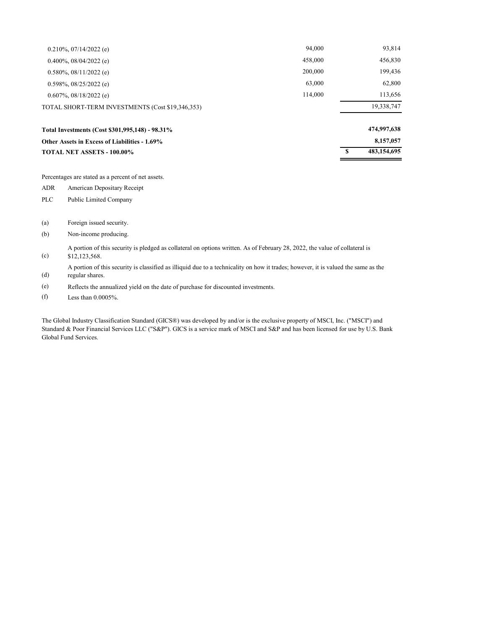| TOTAL NET ASSETS - 100.00%                       |         | 483,154,695 |
|--------------------------------------------------|---------|-------------|
| Other Assets in Excess of Liabilities - 1.69%    |         | 8,157,057   |
| Total Investments (Cost \$301,995,148) - 98.31%  |         | 474,997,638 |
| TOTAL SHORT-TERM INVESTMENTS (Cost \$19,346,353) |         | 19,338,747  |
| $0.607\%$ , 08/18/2022 (e)                       | 114,000 | 113,656     |
| $0.598\%, 08/25/2022$ (e)                        | 63,000  | 62,800      |
| $0.580\%$ , $08/11/2022$ (e)                     | 200,000 | 199,436     |
| $0.400\%$ , 08/04/2022 (e)                       | 458,000 | 456,830     |
| $0.210\%, 07/14/2022$ (e)                        | 94,000  | 93,814      |

Percentages are stated as a percent of net assets.

ADR American Depositary Receipt

- PLC Public Limited Company
- (a) Foreign issued security.
- (b) Non-income producing.

(c) A portion of this security is pledged as collateral on options written. As of February 28, 2022, the value of collateral is \$12,123,568.

(d) A portion of this security is classified as illiquid due to a technicality on how it trades; however, it is valued the same as the regular shares.

- (e) Reflects the annualized yield on the date of purchase for discounted investments.
- (f) Less than 0.0005%.

The Global Industry Classification Standard (GICS®) was developed by and/or is the exclusive property of MSCI, Inc. ("MSCI") and Standard & Poor Financial Services LLC ("S&P"). GICS is a service mark of MSCI and S&P and has been licensed for use by U.S. Bank Global Fund Services.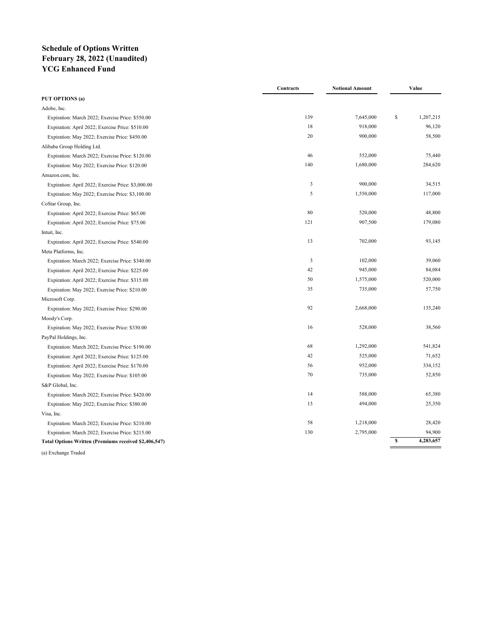## **Schedule of Options Written February 28, 2022 (Unaudited) YCG Enhanced Fund**

|                                                       | Contracts | <b>Notional Amount</b> |    | Value     |  |
|-------------------------------------------------------|-----------|------------------------|----|-----------|--|
| PUT OPTIONS (a)                                       |           |                        |    |           |  |
| Adobe, Inc.                                           |           |                        |    |           |  |
| Expiration: March 2022; Exercise Price: \$550.00      | 139       | 7,645,000              | \$ | 1,207,215 |  |
| Expiration: April 2022; Exercise Price: \$510.00      | 18        | 918,000                |    | 96,120    |  |
| Expiration: May 2022; Exercise Price: \$450.00        | 20        | 900,000                |    | 58,500    |  |
| Alibaba Group Holding Ltd.                            |           |                        |    |           |  |
| Expiration: March 2022; Exercise Price: \$120.00      | 46        | 552,000                |    | 75,440    |  |
| Expiration: May 2022; Exercise Price: \$120.00        | 140       | 1,680,000              |    | 284,620   |  |
| Amazon.com, Inc.                                      |           |                        |    |           |  |
| Expiration: April 2022; Exercise Price: \$3,000.00    | 3         | 900,000                |    | 34,515    |  |
| Expiration: May 2022; Exercise Price: \$3,100.00      | 5         | 1,550,000              |    | 117,000   |  |
| CoStar Group, Inc.                                    |           |                        |    |           |  |
| Expiration: April 2022; Exercise Price: \$65.00       | 80        | 520,000                |    | 48,800    |  |
| Expiration: April 2022; Exercise Price: \$75.00       | 121       | 907,500                |    | 179,080   |  |
| Intuit, Inc.                                          |           |                        |    |           |  |
| Expiration: April 2022; Exercise Price: \$540.00      | 13        | 702,000                |    | 93,145    |  |
| Meta Platforms, Inc.                                  |           |                        |    |           |  |
| Expiration: March 2022; Exercise Price: \$340.00      | 3         | 102,000                |    | 39,060    |  |
| Expiration: April 2022; Exercise Price: \$225.00      | 42        | 945,000                |    | 84,084    |  |
| Expiration: April 2022; Exercise Price: \$315.00      | 50        | 1,575,000              |    | 520,000   |  |
| Expiration: May 2022; Exercise Price: \$210.00        | 35        | 735,000                |    | 57,750    |  |
| Microsoft Corp.                                       |           |                        |    |           |  |
| Expiration: May 2022; Exercise Price: \$290.00        | 92        | 2,668,000              |    | 135,240   |  |
| Moody's Corp.                                         |           |                        |    |           |  |
| Expiration: May 2022; Exercise Price: \$330.00        | 16        | 528,000                |    | 38,560    |  |
| PayPal Holdings, Inc.                                 |           |                        |    |           |  |
| Expiration: March 2022; Exercise Price: \$190.00      | 68        | 1,292,000              |    | 541,824   |  |
| Expiration: April 2022; Exercise Price: \$125.00      | 42        | 525,000                |    | 71,652    |  |
| Expiration: April 2022; Exercise Price: \$170.00      | 56        | 952,000                |    | 334,152   |  |
| Expiration: May 2022; Exercise Price: \$105.00        | 70        | 735,000                |    | 52,850    |  |
| S&P Global, Inc.                                      |           |                        |    |           |  |
| Expiration: March 2022; Exercise Price: \$420.00      | 14        | 588,000                |    | 65,380    |  |
| Expiration: May 2022; Exercise Price: \$380.00        | 13        | 494,000                |    | 25,350    |  |
| Visa, Inc.                                            |           |                        |    |           |  |
| Expiration: March 2022; Exercise Price: \$210.00      | 58        | 1,218,000              |    | 28,420    |  |
| Expiration: March 2022; Exercise Price: \$215.00      | 130       | 2,795,000              |    | 94,900    |  |
| Total Options Written (Premiums received \$2,406,547) |           |                        | s  | 4,283,657 |  |
|                                                       |           |                        |    |           |  |

(a) Exchange Traded